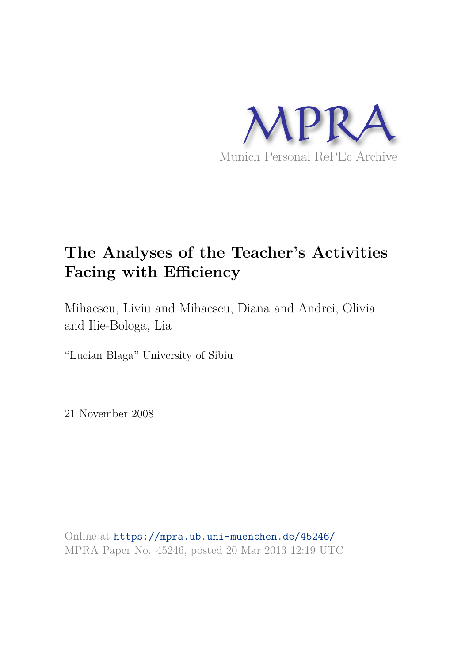

# **The Analyses of the Teacher's Activities Facing with Efficiency**

Mihaescu, Liviu and Mihaescu, Diana and Andrei, Olivia and Ilie-Bologa, Lia

"Lucian Blaga" University of Sibiu

21 November 2008

Online at https://mpra.ub.uni-muenchen.de/45246/ MPRA Paper No. 45246, posted 20 Mar 2013 12:19 UTC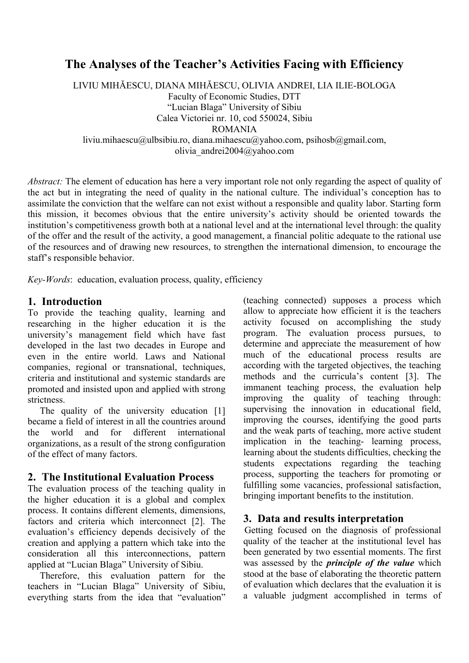## **The Analyses of the Teacher's Activities Facing with Efficiency**

LIVIU MIHĂESCU, DIANA MIHĂESCU, OLIVIA ANDREI, LIA ILIE-BOLOGA Faculty of Economic Studies, DTT "Lucian Blaga" University of Sibiu Calea Victoriei nr. 10, cod 550024, Sibiu ROMANIA liviu.mihaescu@ulbsibiu.ro, diana.mihaescu@yahoo.com, psihosb@gmail.com, olivia\_andrei2004@yahoo.com

*Abstract:* The element of education has here a very important role not only regarding the aspect of quality of the act but in integrating the need of quality in the national culture. The individual's conception has to assimilate the conviction that the welfare can not exist without a responsible and quality labor. Starting form this mission, it becomes obvious that the entire university's activity should be oriented towards the institution's competitiveness growth both at a national level and at the international level through: the quality of the offer and the result of the activity, a good management, a financial politic adequate to the rational use of the resources and of drawing new resources, to strengthen the international dimension, to encourage the staff's responsible behavior.

*Key-Words*: education, evaluation process, quality, efficiency

#### **1. Introduction**

To provide the teaching quality, learning and researching in the higher education it is the university's management field which have fast developed in the last two decades in Europe and even in the entire world. Laws and National companies, regional or transnational, techniques, criteria and institutional and systemic standards are promoted and insisted upon and applied with strong strictness.

The quality of the university education [1] became a field of interest in all the countries around the world and for different international organizations, as a result of the strong configuration of the effect of many factors.

#### **2. The Institutional Evaluation Process**

The evaluation process of the teaching quality in the higher education it is a global and complex process. It contains different elements, dimensions, factors and criteria which interconnect [2]. The evaluation's efficiency depends decisively of the creation and applying a pattern which take into the consideration all this interconnections, pattern applied at "Lucian Blaga" University of Sibiu.

Therefore, this evaluation pattern for the teachers in "Lucian Blaga" University of Sibiu, everything starts from the idea that "evaluation"

(teaching connected) supposes a process which allow to appreciate how efficient it is the teachers activity focused on accomplishing the study program. The evaluation process pursues, to determine and appreciate the measurement of how much of the educational process results are according with the targeted objectives, the teaching methods and the curricula's content [3]. The immanent teaching process, the evaluation help improving the quality of teaching through: supervising the innovation in educational field, improving the courses, identifying the good parts and the weak parts of teaching, more active student implication in the teaching- learning process, learning about the students difficulties, checking the students expectations regarding the teaching process, supporting the teachers for promoting or fulfilling some vacancies, professional satisfaction, bringing important benefits to the institution.

### **3. Data and results interpretation**

Getting focused on the diagnosis of professional quality of the teacher at the institutional level has been generated by two essential moments. The first was assessed by the *principle of the value* which stood at the base of elaborating the theoretic pattern of evaluation which declares that the evaluation it is a valuable judgment accomplished in terms of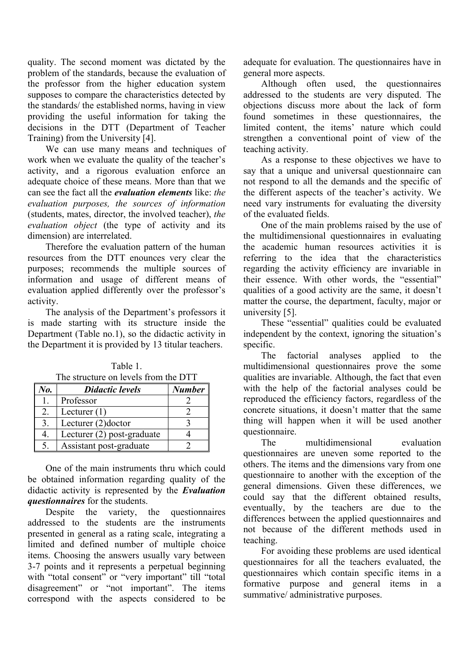quality. The second moment was dictated by the problem of the standards, because the evaluation of the professor from the higher education system supposes to compare the characteristics detected by the standards/ the established norms, having in view providing the useful information for taking the decisions in the DTT (Department of Teacher Training) from the University [4].

We can use many means and techniques of work when we evaluate the quality of the teacher's activity, and a rigorous evaluation enforce an adequate choice of these means. More than that we can see the fact all the *evaluation elements* like: *the evaluation purposes, the sources of information*  (students, mates, director, the involved teacher), *the evaluation object* (the type of activity and its dimension) are interrelated.

Therefore the evaluation pattern of the human resources from the DTT enounces very clear the purposes; recommends the multiple sources of information and usage of different means of evaluation applied differently over the professor's activity.

The analysis of the Department's professors it is made starting with its structure inside the Department (Table no.1), so the didactic activity in the Department it is provided by 13 titular teachers.

| Table 1.                             |  |
|--------------------------------------|--|
| The structure on levels from the DTT |  |

| No. | <b>Didactic levels</b>     | <b>Number</b> |
|-----|----------------------------|---------------|
|     | Professor                  |               |
|     | Lecturer $(1)$             |               |
|     | Lecturer (2)doctor         |               |
|     | Lecturer (2) post-graduate |               |
|     | Assistant post-graduate    |               |

One of the main instruments thru which could be obtained information regarding quality of the didactic activity is represented by the *Evaluation questionnaires* for the students.

Despite the variety, the questionnaires addressed to the students are the instruments presented in general as a rating scale, integrating a limited and defined number of multiple choice items. Choosing the answers usually vary between 3-7 points and it represents a perpetual beginning with "total consent" or "very important" till "total disagreement" or "not important". The items correspond with the aspects considered to be adequate for evaluation. The questionnaires have in general more aspects.

Although often used, the questionnaires addressed to the students are very disputed. The objections discuss more about the lack of form found sometimes in these questionnaires, the limited content, the items' nature which could strengthen a conventional point of view of the teaching activity.

As a response to these objectives we have to say that a unique and universal questionnaire can not respond to all the demands and the specific of the different aspects of the teacher's activity. We need vary instruments for evaluating the diversity of the evaluated fields.

One of the main problems raised by the use of the multidimensional questionnaires in evaluating the academic human resources activities it is referring to the idea that the characteristics regarding the activity efficiency are invariable in their essence. With other words, the "essential" qualities of a good activity are the same, it doesn't matter the course, the department, faculty, major or university [5].

These "essential" qualities could be evaluated independent by the context, ignoring the situation's specific.

The factorial analyses applied to the multidimensional questionnaires prove the some qualities are invariable. Although, the fact that even with the help of the factorial analyses could be reproduced the efficiency factors, regardless of the concrete situations, it doesn't matter that the same thing will happen when it will be used another questionnaire.

The multidimensional evaluation questionnaires are uneven some reported to the others. The items and the dimensions vary from one questionnaire to another with the exception of the general dimensions. Given these differences, we could say that the different obtained results, eventually, by the teachers are due to the differences between the applied questionnaires and not because of the different methods used in teaching.

For avoiding these problems are used identical questionnaires for all the teachers evaluated, the questionnaires which contain specific items in a formative purpose and general items in a summative/ administrative purposes.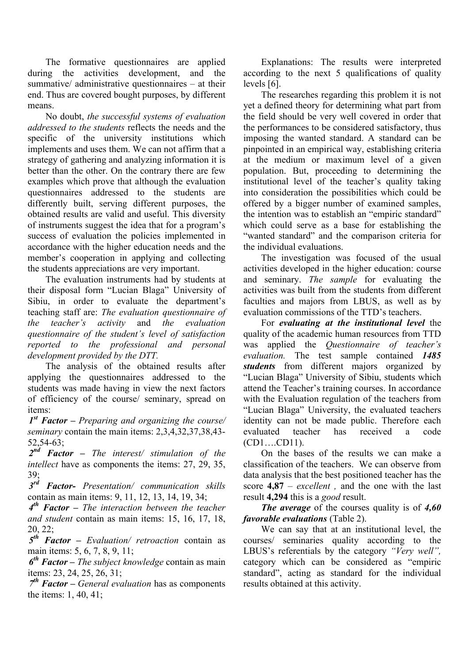The formative questionnaires are applied during the activities development, and the summative/ administrative questionnaires – at their end. Thus are covered bought purposes, by different means.

No doubt, *the successful systems of evaluation addressed to the students* reflects the needs and the specific of the university institutions which implements and uses them. We can not affirm that a strategy of gathering and analyzing information it is better than the other. On the contrary there are few examples which prove that although the evaluation questionnaires addressed to the students are differently built, serving different purposes, the obtained results are valid and useful. This diversity of instruments suggest the idea that for a program's success of evaluation the policies implemented in accordance with the higher education needs and the member's cooperation in applying and collecting the students appreciations are very important.

The evaluation instruments had by students at their disposal form "Lucian Blaga" University of Sibiu, in order to evaluate the department's teaching staff are: *The evaluation questionnaire of the teacher's activity* and *the evaluation questionnaire of the student's level of satisfaction reported to the professional and personal development provided by the DTT.*

The analysis of the obtained results after applying the questionnaires addressed to the students was made having in view the next factors of efficiency of the course/ seminary, spread on items:

*1 st Factor – Preparing and organizing the course/ seminary* contain the main items: 2,3,4,32,37,38,43- 52,54-63;

*2 nd Factor – The interest/ stimulation of the intellect* have as components the items: 27, 29, 35,  $39<sup>°</sup>$ 

*3 rd Factor- Presentation/ communication skills*  contain as main items: 9, 11, 12, 13, 14, 19, 34;

*4 th Factor – The interaction between the teacher and student* contain as main items: 15, 16, 17, 18, 20, 22;

*5 th Factor – Evaluation/ retroaction* contain as main items: 5, 6, 7, 8, 9, 11;

*6 th Factor – The subject knowledge* contain as main items: 23, 24, 25, 26, 31;

*7 th Factor – General evaluation* has as components the items: 1, 40, 41;

Explanations: The results were interpreted according to the next 5 qualifications of quality levels [6].

The researches regarding this problem it is not yet a defined theory for determining what part from the field should be very well covered in order that the performances to be considered satisfactory, thus imposing the wanted standard. A standard can be pinpointed in an empirical way, establishing criteria at the medium or maximum level of a given population. But, proceeding to determining the institutional level of the teacher's quality taking into consideration the possibilities which could be offered by a bigger number of examined samples, the intention was to establish an "empiric standard" which could serve as a base for establishing the "wanted standard" and the comparison criteria for the individual evaluations.

The investigation was focused of the usual activities developed in the higher education: course and seminary. *The sample* for evaluating the activities was built from the students from different faculties and majors from LBUS, as well as by evaluation commissions of the TTD's teachers.

For *evaluating at the institutional level* the quality of the academic human resources from TTD was applied the *Questionnaire of teacher's evaluation.* The test sample contained *1485 students* from different majors organized by "Lucian Blaga" University of Sibiu, students which attend the Teacher's training courses. In accordance with the Evaluation regulation of the teachers from "Lucian Blaga" University, the evaluated teachers identity can not be made public. Therefore each evaluated teacher has received a code (CD1….CD11).

On the bases of the results we can make a classification of the teachers. We can observe from data analysis that the best positioned teacher has the score **4,87** – *excellent ,* and the one with the last result **4,294** this is a *good* result.

*The average* of the courses quality is of *4,60 favorable evaluations* (Table 2).

We can say that at an institutional level, the courses/ seminaries quality according to the LBUS's referentials by the category *"Very well",*  category which can be considered as "empiric standard", acting as standard for the individual results obtained at this activity.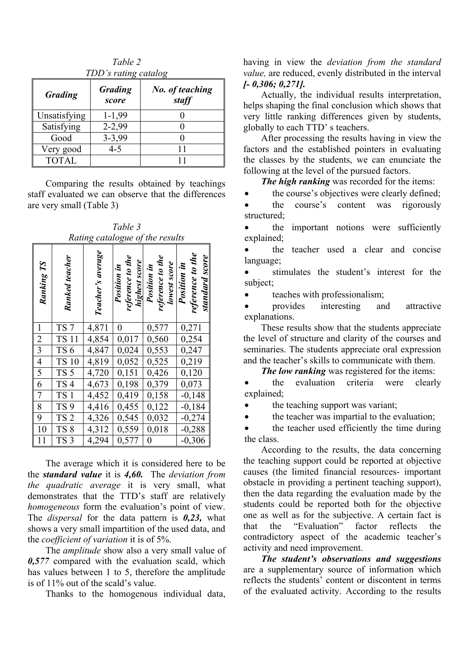| IDD's rating catalog |                         |                          |  |  |  |  |
|----------------------|-------------------------|--------------------------|--|--|--|--|
| <b>Grading</b>       | <b>Grading</b><br>score | No. of teaching<br>staff |  |  |  |  |
| Unsatisfying         | $1 - 1,99$              |                          |  |  |  |  |
| Satisfying           | $2 - 2,99$              |                          |  |  |  |  |
| Good                 | $3 - 3,99$              |                          |  |  |  |  |
| Very good            | $4 - 5$                 | 11                       |  |  |  |  |
| <b>TOTAL</b>         |                         |                          |  |  |  |  |

*Table 2 TDD's rating catalog*

Comparing the results obtained by teachings staff evaluated we can observe that the differences are very small (Table 3)

|                | Rating catalogue of the results |                   |                                                  |                                                 |                                                   |  |  |  |
|----------------|---------------------------------|-------------------|--------------------------------------------------|-------------------------------------------------|---------------------------------------------------|--|--|--|
| Ranking TS     | Ranked teacher                  | Teacher's average | reference to the<br>highest score<br>Position in | reference to the<br>lowest score<br>Position in | reference to the<br>standard score<br>Position in |  |  |  |
| $\overline{1}$ | TS <sub>7</sub>                 | 4,871             | 0                                                | 0,577                                           | 0,271                                             |  |  |  |
|                | <b>TS 11</b>                    | 4,854             | 0,017                                            | 0,560                                           | 0,254                                             |  |  |  |
| $\frac{2}{3}$  | TS <sub>6</sub>                 | 4,847             | 0,024                                            | $0,55\overline{3}$                              | 0,247                                             |  |  |  |
|                | <b>TS 10</b>                    | 4,819             | 0,052                                            | 0,525                                           | 0,219                                             |  |  |  |
| $\overline{5}$ | TS <sub>5</sub>                 | 4,720             | 0,151                                            | 0,426                                           | 0,120                                             |  |  |  |
| $\overline{6}$ | TS <sub>4</sub>                 | 4,673             | 0,198                                            | 0,379                                           | 0,073                                             |  |  |  |
| $\overline{7}$ | TS <sub>1</sub>                 | 4,452             | 0,419                                            | 0,158                                           | $-0,148$                                          |  |  |  |
| 8              | TS <sub>9</sub>                 | 4,416             | 0,455                                            | 0,122                                           | $-0,184$                                          |  |  |  |
| $\overline{9}$ | TS <sub>2</sub>                 | 4,326             | 0,545                                            | 0,032                                           | $-0,274$                                          |  |  |  |
| 10             | TS <sub>8</sub>                 | 4,312             | 0,559                                            | 0,018                                           | $-0,288$                                          |  |  |  |
| 11             | TS <sub>3</sub>                 | 4,294             | 0,577                                            | $\boldsymbol{0}$                                | $-0,306$                                          |  |  |  |

*Table 3*

The average which it is considered here to be the *standard value* it is *4,60.* The *deviation from the quadratic average* it is very small, what demonstrates that the TTD's staff are relatively *homogeneous* form the evaluation's point of view. The *dispersal* for the data pattern is *0,23,* what shows a very small impartition of the used data, and the *coefficient of variation* it is of 5%.

The *amplitude* show also a very small value of *0,577* compared with the evaluation scald, which has values between 1 to 5, therefore the amplitude is of 11% out of the scald's value.

Thanks to the homogenous individual data,

having in view the *deviation from the standard value,* are reduced, evenly distributed in the interval *[- 0,306; 0,271].* 

Actually, the individual results interpretation, helps shaping the final conclusion which shows that very little ranking differences given by students, globally to each TTD' s teachers.

After processing the results having in view the factors and the established pointers in evaluating the classes by the students, we can enunciate the following at the level of the pursued factors.

*The high ranking* was recorded for the items:

• the course's objectives were clearly defined;

• the course's content was rigorously structured<sup>-</sup>

 the important notions were sufficiently explained;

 the teacher used a clear and concise language;

 stimulates the student's interest for the subject;

teaches with professionalism;

 provides interesting and attractive explanations.

These results show that the students appreciate the level of structure and clarity of the courses and seminaries. The students appreciate oral expression and the teacher's skills to communicate with them.

*The low ranking* was registered for the items:

 the evaluation criteria were clearly explained;

• the teaching support was variant;

• the teacher was impartial to the evaluation;

 the teacher used efficiently the time during the class.

According to the results, the data concerning the teaching support could be reported at objective causes (the limited financial resources- important obstacle in providing a pertinent teaching support), then the data regarding the evaluation made by the students could be reported both for the objective one as well as for the subjective. A certain fact is that the "Evaluation" factor reflects the contradictory aspect of the academic teacher's activity and need improvement.

*The student's observations and suggestions*  are a supplementary source of information which reflects the students' content or discontent in terms of the evaluated activity. According to the results